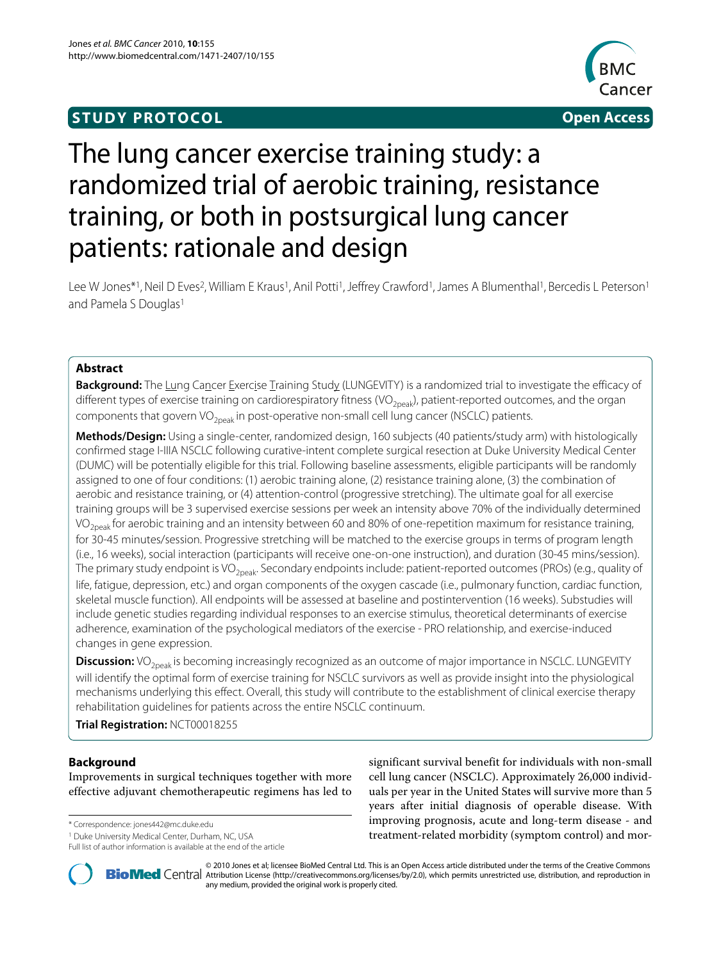## **STUDY PROTOCOL Open Access**



# The lung cancer exercise training study: a randomized trial of aerobic training, resistance training, or both in postsurgical lung cancer patients: rationale and design

Lee W Jones\*1, Neil D Eves<sup>2</sup>, William E Kraus<sup>1</sup>, Anil Potti<sup>1</sup>, Jeffrey Crawford<sup>1</sup>, James A Blumenthal<sup>1</sup>, Bercedis L Peterson<sup>1</sup> and Pamela S Douglas<sup>1</sup>

## **Abstract**

**Background:** The Lung Cancer Exercise Training Study (LUNGEVITY) is a randomized trial to investigate the efficacy of different types of exercise training on cardiorespiratory fitness (VO<sub>2peak</sub>), patient-reported outcomes, and the organ components that govern VO<sub>2peak</sub> in post-operative non-small cell lung cancer (NSCLC) patients.

**Methods/Design:** Using a single-center, randomized design, 160 subjects (40 patients/study arm) with histologically confirmed stage I-IIIA NSCLC following curative-intent complete surgical resection at Duke University Medical Center (DUMC) will be potentially eligible for this trial. Following baseline assessments, eligible participants will be randomly assigned to one of four conditions: (1) aerobic training alone, (2) resistance training alone, (3) the combination of aerobic and resistance training, or (4) attention-control (progressive stretching). The ultimate goal for all exercise training groups will be 3 supervised exercise sessions per week an intensity above 70% of the individually determined VO<sub>2peak</sub> for aerobic training and an intensity between 60 and 80% of one-repetition maximum for resistance training, for 30-45 minutes/session. Progressive stretching will be matched to the exercise groups in terms of program length (i.e., 16 weeks), social interaction (participants will receive one-on-one instruction), and duration (30-45 mins/session). The primary study endpoint is VO<sub>2peak</sub>. Secondary endpoints include: patient-reported outcomes (PROs) (e.g., quality of life, fatigue, depression, etc.) and organ components of the oxygen cascade (i.e., pulmonary function, cardiac function, skeletal muscle function). All endpoints will be assessed at baseline and postintervention (16 weeks). Substudies will include genetic studies regarding individual responses to an exercise stimulus, theoretical determinants of exercise adherence, examination of the psychological mediators of the exercise - PRO relationship, and exercise-induced changes in gene expression.

**Discussion:** VO<sub>2peak</sub> is becoming increasingly recognized as an outcome of major importance in NSCLC. LUNGEVITY will identify the optimal form of exercise training for NSCLC survivors as well as provide insight into the physiological mechanisms underlying this effect. Overall, this study will contribute to the establishment of clinical exercise therapy rehabilitation guidelines for patients across the entire NSCLC continuum.

**Trial Registration:** NCT00018255

## **Background**

Improvements in surgical techniques together with more effective adjuvant chemotherapeutic regimens has led to

\* Correspondence: jones442@mc.duke.edu

Full list of author information is available at the end of the article

significant survival benefit for individuals with non-small cell lung cancer (NSCLC). Approximately 26,000 individuals per year in the United States will survive more than 5 years after initial diagnosis of operable disease. With improving prognosis, acute and long-term disease - and treatment-related morbidity (symptom control) and mor-



2010 Jones et al; licensee [BioMed](http://www.biomedcentral.com/) Central Ltd. This is an Open Access article distributed under the terms of the Creative Commons (http://creativecommons.org/licenses/by/2.0), which permits unrestricted use, distribution, any medium, provided the original work is properly cited.

<sup>1</sup> Duke University Medical Center, Durham, NC, USA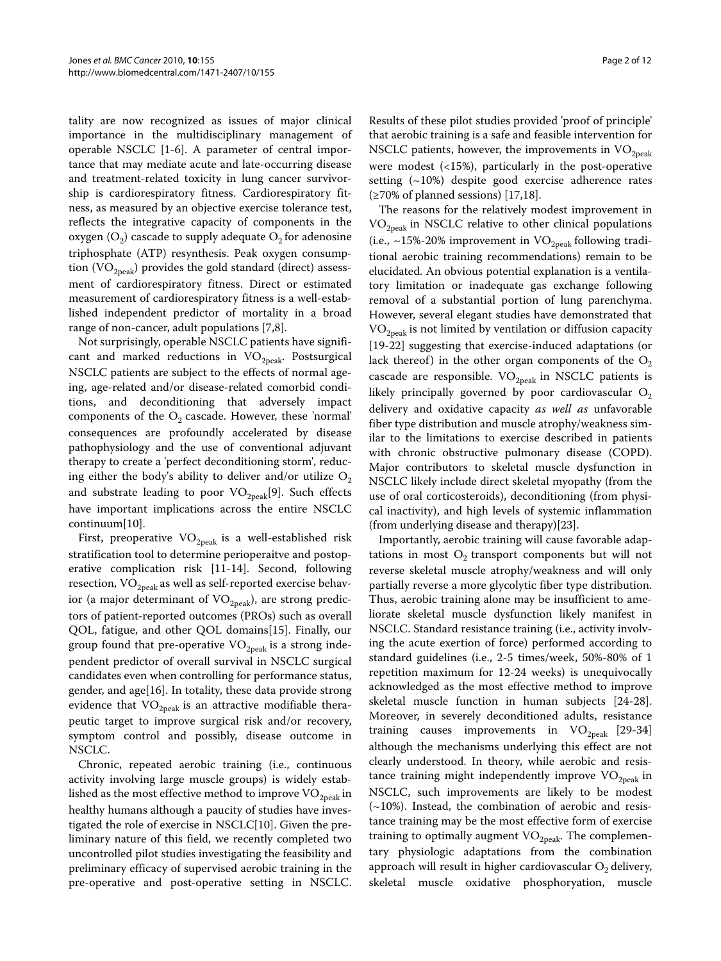tality are now recognized as issues of major clinical importance in the multidisciplinary management of operable NSCLC [[1](#page-10-0)[-6](#page-10-1)]. A parameter of central importance that may mediate acute and late-occurring disease and treatment-related toxicity in lung cancer survivorship is cardiorespiratory fitness. Cardiorespiratory fitness, as measured by an objective exercise tolerance test, reflects the integrative capacity of components in the oxygen  $(O_2)$  cascade to supply adequate  $O_2$  for adenosine triphosphate (ATP) resynthesis. Peak oxygen consumption  $(VO_{2peak})$  provides the gold standard (direct) assessment of cardiorespiratory fitness. Direct or estimated measurement of cardiorespiratory fitness is a well-established independent predictor of mortality in a broad range of non-cancer, adult populations [[7,](#page-10-2)[8\]](#page-10-3).

Not surprisingly, operable NSCLC patients have significant and marked reductions in  $VO<sub>2peak</sub>$ . Postsurgical NSCLC patients are subject to the effects of normal ageing, age-related and/or disease-related comorbid conditions, and deconditioning that adversely impact components of the  $O_2$  cascade. However, these 'normal' consequences are profoundly accelerated by disease pathophysiology and the use of conventional adjuvant therapy to create a 'perfect deconditioning storm', reducing either the body's ability to deliver and/or utilize  $O_2$ and substrate leading to poor  $VO_{2\text{peak}}[9]$  $VO_{2\text{peak}}[9]$  $VO_{2\text{peak}}[9]$ . Such effects have important implications across the entire NSCLC continuum[[10\]](#page-10-5).

First, preoperative  $VO_{2peak}$  is a well-established risk stratification tool to determine perioperaitve and postoperative complication risk [\[11](#page-10-6)-[14\]](#page-10-7). Second, following resection,  $VO_{2peak}$  as well as self-reported exercise behavior (a major determinant of  $VO_{2n eak}$ ), are strong predictors of patient-reported outcomes (PROs) such as overall QOL, fatigue, and other QOL domains[[15\]](#page-10-8). Finally, our group found that pre-operative  $VO<sub>2peak</sub>$  is a strong independent predictor of overall survival in NSCLC surgical candidates even when controlling for performance status, gender, and age[[16](#page-10-9)]. In totality, these data provide strong evidence that  $VO_{2peak}$  is an attractive modifiable therapeutic target to improve surgical risk and/or recovery, symptom control and possibly, disease outcome in NSCLC.

Chronic, repeated aerobic training (i.e., continuous activity involving large muscle groups) is widely established as the most effective method to improve  $\rm VO_{2peak}$  in healthy humans although a paucity of studies have investigated the role of exercise in NSCLC[\[10\]](#page-10-5). Given the preliminary nature of this field, we recently completed two uncontrolled pilot studies investigating the feasibility and preliminary efficacy of supervised aerobic training in the pre-operative and post-operative setting in NSCLC.

Results of these pilot studies provided 'proof of principle' that aerobic training is a safe and feasible intervention for NSCLC patients, however, the improvements in  $VO<sub>2peak</sub>$ were modest (<15%), particularly in the post-operative setting  $(-10%)$  despite good exercise adherence rates  $(≥70%$  of planned sessions) [[17,](#page-10-10)[18\]](#page-10-11).

The reasons for the relatively modest improvement in VO2peak in NSCLC relative to other clinical populations (i.e., ~15%-20% improvement in  $VO_{2peak}$  following traditional aerobic training recommendations) remain to be elucidated. An obvious potential explanation is a ventilatory limitation or inadequate gas exchange following removal of a substantial portion of lung parenchyma. However, several elegant studies have demonstrated that  $VO_{2peak}$  is not limited by ventilation or diffusion capacity [[19](#page-10-12)[-22](#page-10-13)] suggesting that exercise-induced adaptations (or lack thereof) in the other organ components of the  $O_2$ cascade are responsible.  $VO_{2peak}$  in NSCLC patients is likely principally governed by poor cardiovascular  $O_2$ delivery and oxidative capacity *as well as* unfavorable fiber type distribution and muscle atrophy/weakness similar to the limitations to exercise described in patients with chronic obstructive pulmonary disease (COPD). Major contributors to skeletal muscle dysfunction in NSCLC likely include direct skeletal myopathy (from the use of oral corticosteroids), deconditioning (from physical inactivity), and high levels of systemic inflammation (from underlying disease and therapy)[\[23\]](#page-10-14).

Importantly, aerobic training will cause favorable adaptations in most  $O_2$  transport components but will not reverse skeletal muscle atrophy/weakness and will only partially reverse a more glycolytic fiber type distribution. Thus, aerobic training alone may be insufficient to ameliorate skeletal muscle dysfunction likely manifest in NSCLC. Standard resistance training (i.e., activity involving the acute exertion of force) performed according to standard guidelines (i.e., 2-5 times/week, 50%-80% of 1 repetition maximum for 12-24 weeks) is unequivocally acknowledged as the most effective method to improve skeletal muscle function in human subjects [[24-](#page-10-15)[28](#page-10-16)]. Moreover, in severely deconditioned adults, resistance training causes improvements in  $VO<sub>2peak</sub>$  [\[29-](#page-10-17)[34](#page-10-18)] although the mechanisms underlying this effect are not clearly understood. In theory, while aerobic and resistance training might independently improve  $VO<sub>2neak</sub>$  in NSCLC, such improvements are likely to be modest  $(\sim 10\%)$ . Instead, the combination of aerobic and resistance training may be the most effective form of exercise training to optimally augment  $VO<sub>2peak</sub>$ . The complementary physiologic adaptations from the combination approach will result in higher cardiovascular  $O<sub>2</sub>$  delivery, skeletal muscle oxidative phosphoryation, muscle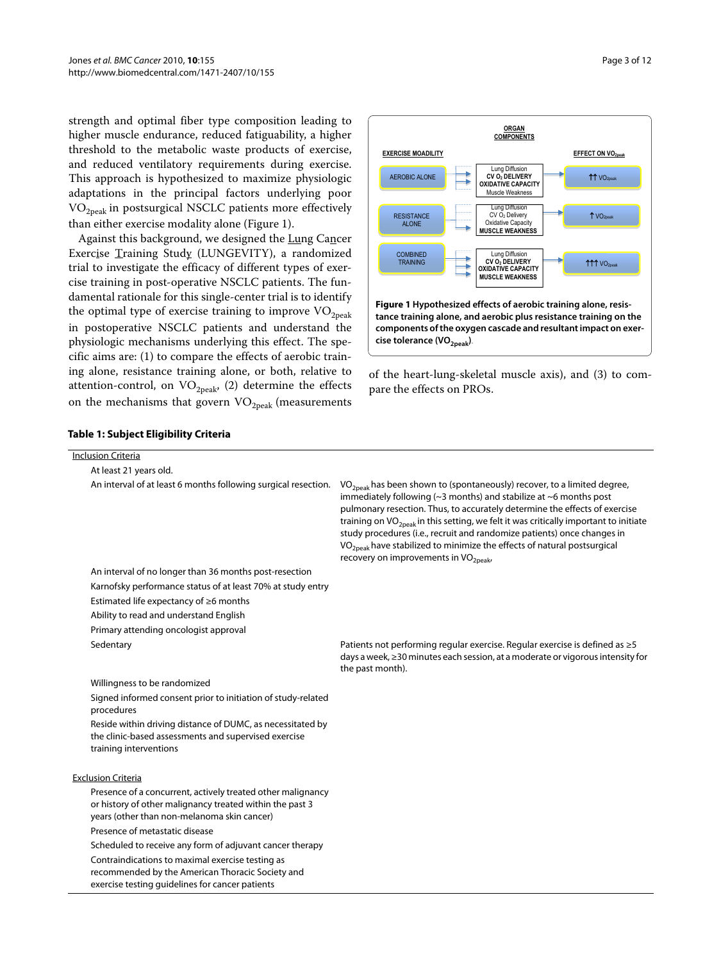strength and optimal fiber type composition leading to higher muscle endurance, reduced fatiguability, a higher threshold to the metabolic waste products of exercise, and reduced ventilatory requirements during exercise. This approach is hypothesized to maximize physiologic adaptations in the principal factors underlying poor  $VO<sub>2peak</sub>$  in postsurgical NSCLC patients more effectively than either exercise modality alone (Figure [1\)](#page-2-0).

Against this background, we designed the Lung Cancer Exercise Training Study (LUNGEVITY), a randomized trial to investigate the efficacy of different types of exercise training in post-operative NSCLC patients. The fundamental rationale for this single-center trial is to identify the optimal type of exercise training to improve  $\rm VO_{2peak}$ in postoperative NSCLC patients and understand the physiologic mechanisms underlying this effect. The specific aims are: (1) to compare the effects of aerobic training alone, resistance training alone, or both, relative to attention-control, on  $VO_{2peak}$ , (2) determine the effects on the mechanisms that govern  $VO_{2peak}$  (measurements

<span id="page-2-0"></span>

of the heart-lung-skeletal muscle axis), and (3) to compare the effects on PROs.

## <span id="page-2-1"></span>**Table 1: Subject Eligibility Criteria**

| <b>Inclusion Criteria</b>                                                                                                                                              |                                                                                                                                                                                                                                                                                                                                                                                                                                                                                                                                                                      |
|------------------------------------------------------------------------------------------------------------------------------------------------------------------------|----------------------------------------------------------------------------------------------------------------------------------------------------------------------------------------------------------------------------------------------------------------------------------------------------------------------------------------------------------------------------------------------------------------------------------------------------------------------------------------------------------------------------------------------------------------------|
| At least 21 years old.                                                                                                                                                 |                                                                                                                                                                                                                                                                                                                                                                                                                                                                                                                                                                      |
| An interval of at least 6 months following surgical resection.                                                                                                         | $VO2peak$ has been shown to (spontaneously) recover, to a limited degree,<br>immediately following ( $\sim$ 3 months) and stabilize at $\sim$ 6 months post<br>pulmonary resection. Thus, to accurately determine the effects of exercise<br>training on VO <sub>2peak</sub> in this setting, we felt it was critically important to initiate<br>study procedures (i.e., recruit and randomize patients) once changes in<br>VO <sub>2peak</sub> have stabilized to minimize the effects of natural postsurgical<br>recovery on improvements in VO <sub>2peak</sub> , |
| An interval of no longer than 36 months post-resection                                                                                                                 |                                                                                                                                                                                                                                                                                                                                                                                                                                                                                                                                                                      |
| Karnofsky performance status of at least 70% at study entry                                                                                                            |                                                                                                                                                                                                                                                                                                                                                                                                                                                                                                                                                                      |
| Estimated life expectancy of $\geq 6$ months                                                                                                                           |                                                                                                                                                                                                                                                                                                                                                                                                                                                                                                                                                                      |
| Ability to read and understand English                                                                                                                                 |                                                                                                                                                                                                                                                                                                                                                                                                                                                                                                                                                                      |
| Primary attending oncologist approval                                                                                                                                  |                                                                                                                                                                                                                                                                                                                                                                                                                                                                                                                                                                      |
| Sedentary                                                                                                                                                              | Patients not performing regular exercise. Regular exercise is defined as $\geq 5$<br>days a week, ≥30 minutes each session, at a moderate or vigorous intensity for<br>the past month).                                                                                                                                                                                                                                                                                                                                                                              |
| Willingness to be randomized                                                                                                                                           |                                                                                                                                                                                                                                                                                                                                                                                                                                                                                                                                                                      |
| Signed informed consent prior to initiation of study-related<br>procedures                                                                                             |                                                                                                                                                                                                                                                                                                                                                                                                                                                                                                                                                                      |
| Reside within driving distance of DUMC, as necessitated by<br>the clinic-based assessments and supervised exercise<br>training interventions                           |                                                                                                                                                                                                                                                                                                                                                                                                                                                                                                                                                                      |
| <b>Exclusion Criteria</b>                                                                                                                                              |                                                                                                                                                                                                                                                                                                                                                                                                                                                                                                                                                                      |
| Presence of a concurrent, actively treated other malignancy<br>or history of other malignancy treated within the past 3<br>years (other than non-melanoma skin cancer) |                                                                                                                                                                                                                                                                                                                                                                                                                                                                                                                                                                      |
| Presence of metastatic disease                                                                                                                                         |                                                                                                                                                                                                                                                                                                                                                                                                                                                                                                                                                                      |
| Scheduled to receive any form of adjuvant cancer therapy                                                                                                               |                                                                                                                                                                                                                                                                                                                                                                                                                                                                                                                                                                      |
| Contraindications to maximal exercise testing as<br>recommended by the American Thoracic Society and<br>exercise testing quidelines for cancer patients                |                                                                                                                                                                                                                                                                                                                                                                                                                                                                                                                                                                      |
|                                                                                                                                                                        |                                                                                                                                                                                                                                                                                                                                                                                                                                                                                                                                                                      |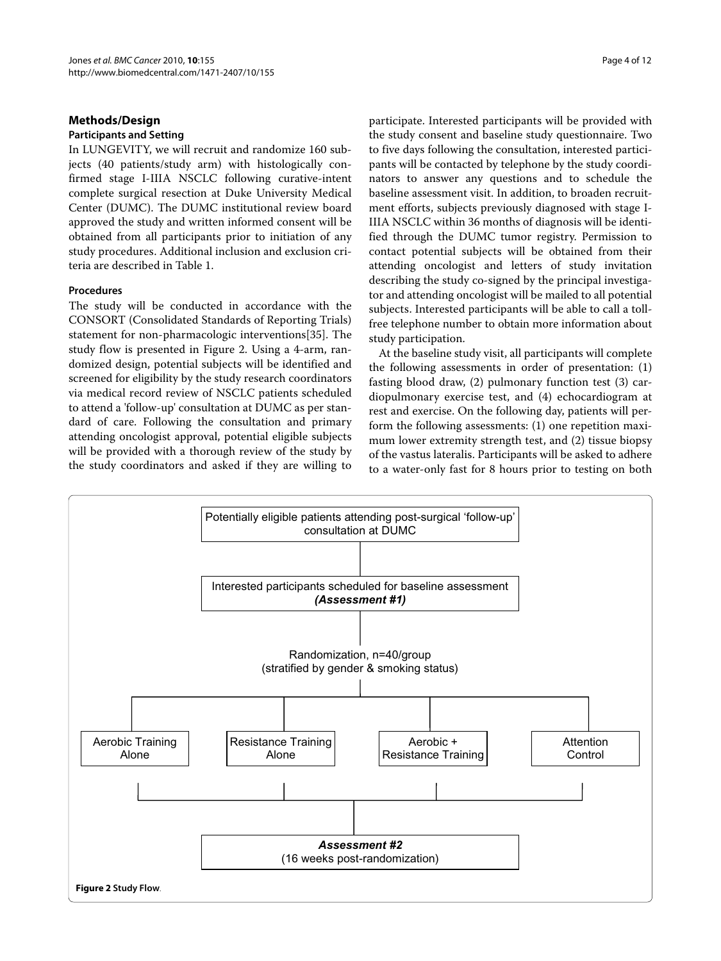## **Methods/Design**

## **Participants and Setting**

In LUNGEVITY, we will recruit and randomize 160 subjects (40 patients/study arm) with histologically confirmed stage I-IIIA NSCLC following curative-intent complete surgical resection at Duke University Medical Center (DUMC). The DUMC institutional review board approved the study and written informed consent will be obtained from all participants prior to initiation of any study procedures. Additional inclusion and exclusion criteria are described in Table [1](#page-2-1).

## **Procedures**

The study will be conducted in accordance with the CONSORT (Consolidated Standards of Reporting Trials) statement for non-pharmacologic interventions[[35\]](#page-11-0). The study flow is presented in Figure [2](#page-3-0). Using a 4-arm, randomized design, potential subjects will be identified and screened for eligibility by the study research coordinators via medical record review of NSCLC patients scheduled to attend a 'follow-up' consultation at DUMC as per standard of care. Following the consultation and primary attending oncologist approval, potential eligible subjects will be provided with a thorough review of the study by the study coordinators and asked if they are willing to

participate. Interested participants will be provided with the study consent and baseline study questionnaire. Two to five days following the consultation, interested participants will be contacted by telephone by the study coordinators to answer any questions and to schedule the baseline assessment visit. In addition, to broaden recruitment efforts, subjects previously diagnosed with stage I-IIIA NSCLC within 36 months of diagnosis will be identified through the DUMC tumor registry. Permission to contact potential subjects will be obtained from their attending oncologist and letters of study invitation describing the study co-signed by the principal investigator and attending oncologist will be mailed to all potential subjects. Interested participants will be able to call a tollfree telephone number to obtain more information about study participation.

At the baseline study visit, all participants will complete the following assessments in order of presentation: (1) fasting blood draw, (2) pulmonary function test (3) cardiopulmonary exercise test, and (4) echocardiogram at rest and exercise. On the following day, patients will perform the following assessments: (1) one repetition maximum lower extremity strength test, and (2) tissue biopsy of the vastus lateralis. Participants will be asked to adhere to a water-only fast for 8 hours prior to testing on both

<span id="page-3-0"></span>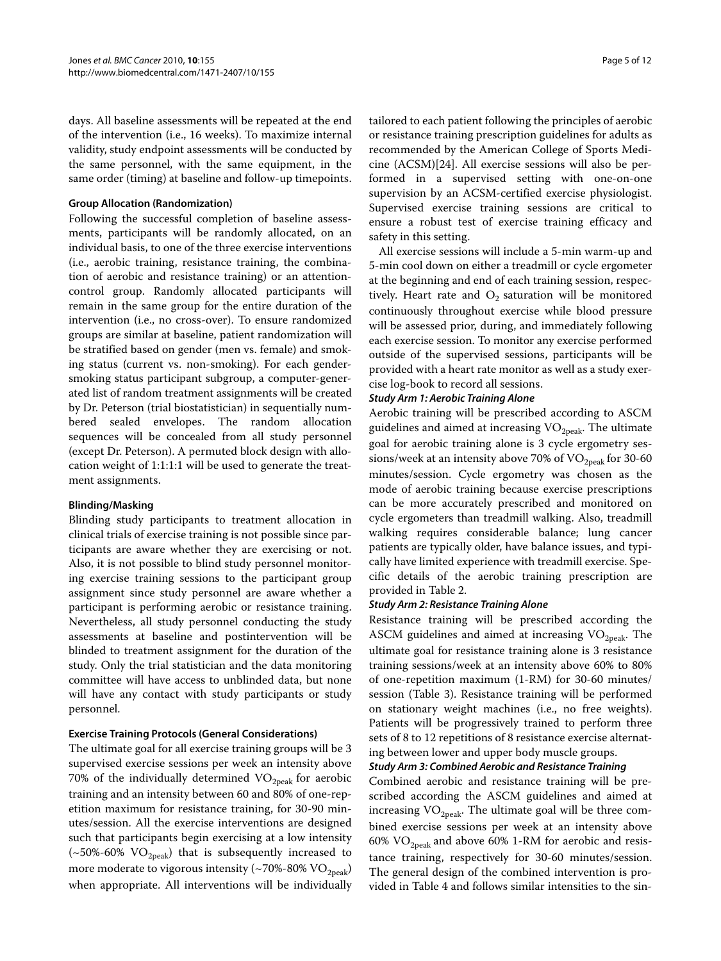days. All baseline assessments will be repeated at the end of the intervention (i.e., 16 weeks). To maximize internal validity, study endpoint assessments will be conducted by the same personnel, with the same equipment, in the same order (timing) at baseline and follow-up timepoints.

## **Group Allocation (Randomization)**

Following the successful completion of baseline assessments, participants will be randomly allocated, on an individual basis, to one of the three exercise interventions (i.e., aerobic training, resistance training, the combination of aerobic and resistance training) or an attentioncontrol group. Randomly allocated participants will remain in the same group for the entire duration of the intervention (i.e., no cross-over). To ensure randomized groups are similar at baseline, patient randomization will be stratified based on gender (men vs. female) and smoking status (current vs. non-smoking). For each gendersmoking status participant subgroup, a computer-generated list of random treatment assignments will be created by Dr. Peterson (trial biostatistician) in sequentially numbered sealed envelopes. The random allocation sequences will be concealed from all study personnel (except Dr. Peterson). A permuted block design with allocation weight of 1:1:1:1 will be used to generate the treatment assignments.

## **Blinding/Masking**

Blinding study participants to treatment allocation in clinical trials of exercise training is not possible since participants are aware whether they are exercising or not. Also, it is not possible to blind study personnel monitoring exercise training sessions to the participant group assignment since study personnel are aware whether a participant is performing aerobic or resistance training. Nevertheless, all study personnel conducting the study assessments at baseline and postintervention will be blinded to treatment assignment for the duration of the study. Only the trial statistician and the data monitoring committee will have access to unblinded data, but none will have any contact with study participants or study personnel.

## **Exercise Training Protocols (General Considerations)**

The ultimate goal for all exercise training groups will be 3 supervised exercise sessions per week an intensity above 70% of the individually determined  $VO_{2\text{peak}}$  for aerobic training and an intensity between 60 and 80% of one-repetition maximum for resistance training, for 30-90 minutes/session. All the exercise interventions are designed such that participants begin exercising at a low intensity ( $\sim$ 50%-60% VO<sub>2peak</sub>) that is subsequently increased to more moderate to vigorous intensity (~70%-80%  $\rm VO_{2peak}$ ) when appropriate. All interventions will be individually

tailored to each patient following the principles of aerobic or resistance training prescription guidelines for adults as recommended by the American College of Sports Medicine (ACSM)[[24\]](#page-10-15). All exercise sessions will also be performed in a supervised setting with one-on-one supervision by an ACSM-certified exercise physiologist. Supervised exercise training sessions are critical to ensure a robust test of exercise training efficacy and safety in this setting.

All exercise sessions will include a 5-min warm-up and 5-min cool down on either a treadmill or cycle ergometer at the beginning and end of each training session, respectively. Heart rate and  $O_2$  saturation will be monitored continuously throughout exercise while blood pressure will be assessed prior, during, and immediately following each exercise session. To monitor any exercise performed outside of the supervised sessions, participants will be provided with a heart rate monitor as well as a study exercise log-book to record all sessions.

## **Study Arm 1: Aerobic Training Alone**

Aerobic training will be prescribed according to ASCM guidelines and aimed at increasing  $\mathrm{VO}_{2\mathrm{peak}}.$  The ultimate goal for aerobic training alone is 3 cycle ergometry sessions/week at an intensity above 70% of  $\rm VO_{2peak}$  for 30-60 minutes/session. Cycle ergometry was chosen as the mode of aerobic training because exercise prescriptions can be more accurately prescribed and monitored on cycle ergometers than treadmill walking. Also, treadmill walking requires considerable balance; lung cancer patients are typically older, have balance issues, and typically have limited experience with treadmill exercise. Specific details of the aerobic training prescription are provided in Table [2](#page-5-0).

## **Study Arm 2: Resistance Training Alone**

Resistance training will be prescribed according the ASCM guidelines and aimed at increasing  $VO<sub>2peak</sub>$ . The ultimate goal for resistance training alone is 3 resistance training sessions/week at an intensity above 60% to 80% of one-repetition maximum (1-RM) for 30-60 minutes/ session (Table 3). Resistance training will be performed on stationary weight machines (i.e., no free weights). Patients will be progressively trained to perform three sets of 8 to 12 repetitions of 8 resistance exercise alternating between lower and upper body muscle groups.

## **Study Arm 3: Combined Aerobic and Resistance Training**

Combined aerobic and resistance training will be prescribed according the ASCM guidelines and aimed at increasing  $VO<sub>2peak</sub>$ . The ultimate goal will be three combined exercise sessions per week at an intensity above 60%  $VO_{2peak}$  and above 60% 1-RM for aerobic and resistance training, respectively for 30-60 minutes/session. The general design of the combined intervention is provided in Table 4 and follows similar intensities to the sin-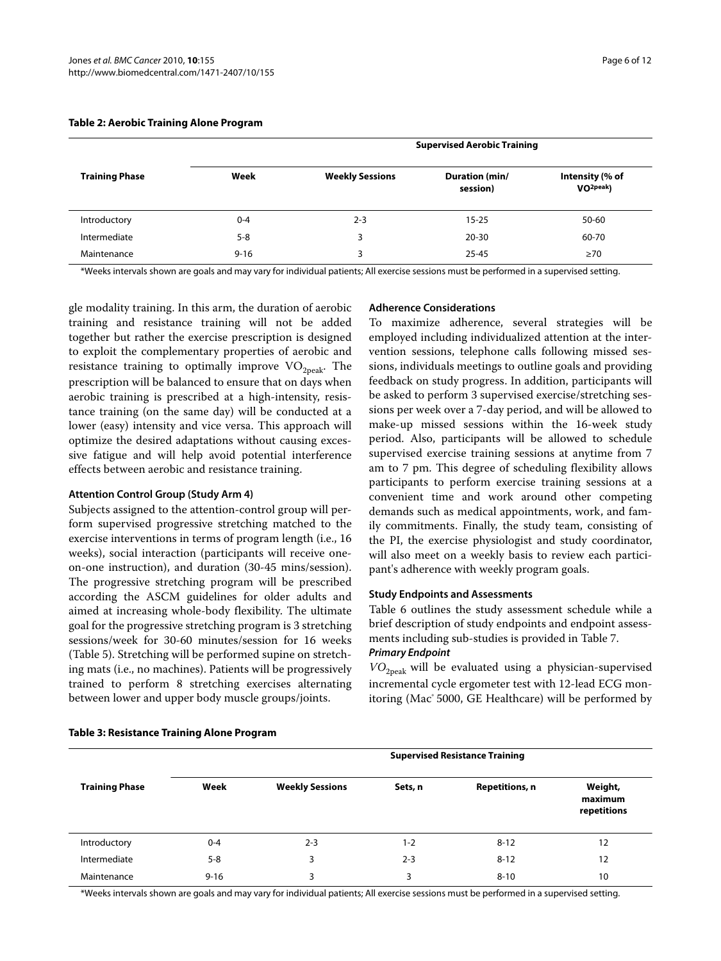#### <span id="page-5-0"></span>**Table 2: Aerobic Training Alone Program**

|                       | <b>Supervised Aerobic Training</b> |                        |                            |                                          |  |
|-----------------------|------------------------------------|------------------------|----------------------------|------------------------------------------|--|
| <b>Training Phase</b> | Week                               | <b>Weekly Sessions</b> | Duration (min/<br>session) | Intensity (% of<br>VO <sub>2peak</sub> ) |  |
| Introductory          | $0 - 4$                            | $2 - 3$                | $15 - 25$                  | 50-60                                    |  |
| Intermediate          | $5 - 8$                            | 3                      | $20 - 30$                  | 60-70                                    |  |
| Maintenance           | $9 - 16$                           | 3                      | $25 - 45$                  | $\geq 70$                                |  |

\*Weeks intervals shown are goals and may vary for individual patients; All exercise sessions must be performed in a supervised setting.

gle modality training. In this arm, the duration of aerobic training and resistance training will not be added together but rather the exercise prescription is designed to exploit the complementary properties of aerobic and resistance training to optimally improve  $VO<sub>2peak</sub>$ . The prescription will be balanced to ensure that on days when aerobic training is prescribed at a high-intensity, resistance training (on the same day) will be conducted at a lower (easy) intensity and vice versa. This approach will optimize the desired adaptations without causing excessive fatigue and will help avoid potential interference effects between aerobic and resistance training.

## **Attention Control Group (Study Arm 4)**

Subjects assigned to the attention-control group will perform supervised progressive stretching matched to the exercise interventions in terms of program length (i.e., 16 weeks), social interaction (participants will receive oneon-one instruction), and duration (30-45 mins/session). The progressive stretching program will be prescribed according the ASCM guidelines for older adults and aimed at increasing whole-body flexibility. The ultimate goal for the progressive stretching program is 3 stretching sessions/week for 30-60 minutes/session for 16 weeks (Table 5). Stretching will be performed supine on stretching mats (i.e., no machines). Patients will be progressively trained to perform 8 stretching exercises alternating between lower and upper body muscle groups/joints.

## **Adherence Considerations**

To maximize adherence, several strategies will be employed including individualized attention at the intervention sessions, telephone calls following missed sessions, individuals meetings to outline goals and providing feedback on study progress. In addition, participants will be asked to perform 3 supervised exercise/stretching sessions per week over a 7-day period, and will be allowed to make-up missed sessions within the 16-week study period. Also, participants will be allowed to schedule supervised exercise training sessions at anytime from 7 am to 7 pm. This degree of scheduling flexibility allows participants to perform exercise training sessions at a convenient time and work around other competing demands such as medical appointments, work, and family commitments. Finally, the study team, consisting of the PI, the exercise physiologist and study coordinator, will also meet on a weekly basis to review each participant's adherence with weekly program goals.

## **Study Endpoints and Assessments**

Table 6 outlines the study assessment schedule while a brief description of study endpoints and endpoint assessments including sub-studies is provided in Table 7. **Primary Endpoint**

*VO*2peak will be evaluated using a physician-supervised incremental cycle ergometer test with 12-lead ECG monitoring (Mac<sup>®</sup> 5000, GE Healthcare) will be performed by

|                       | <b>Supervised Resistance Training</b> |                        |         |                       |                                   |  |
|-----------------------|---------------------------------------|------------------------|---------|-----------------------|-----------------------------------|--|
| <b>Training Phase</b> | Week                                  | <b>Weekly Sessions</b> | Sets, n | <b>Repetitions, n</b> | Weight,<br>maximum<br>repetitions |  |
| Introductory          | $0 - 4$                               | $2 - 3$                | $1 - 2$ | $8 - 12$              | 12                                |  |
| Intermediate          | $5 - 8$                               | 3                      | $2 - 3$ | $8 - 12$              | 12                                |  |
| Maintenance           | $9 - 16$                              | 3                      | 3       | $8 - 10$              | 10                                |  |

## **Table 3: Resistance Training Alone Program**

\*Weeks intervals shown are goals and may vary for individual patients; All exercise sessions must be performed in a supervised setting.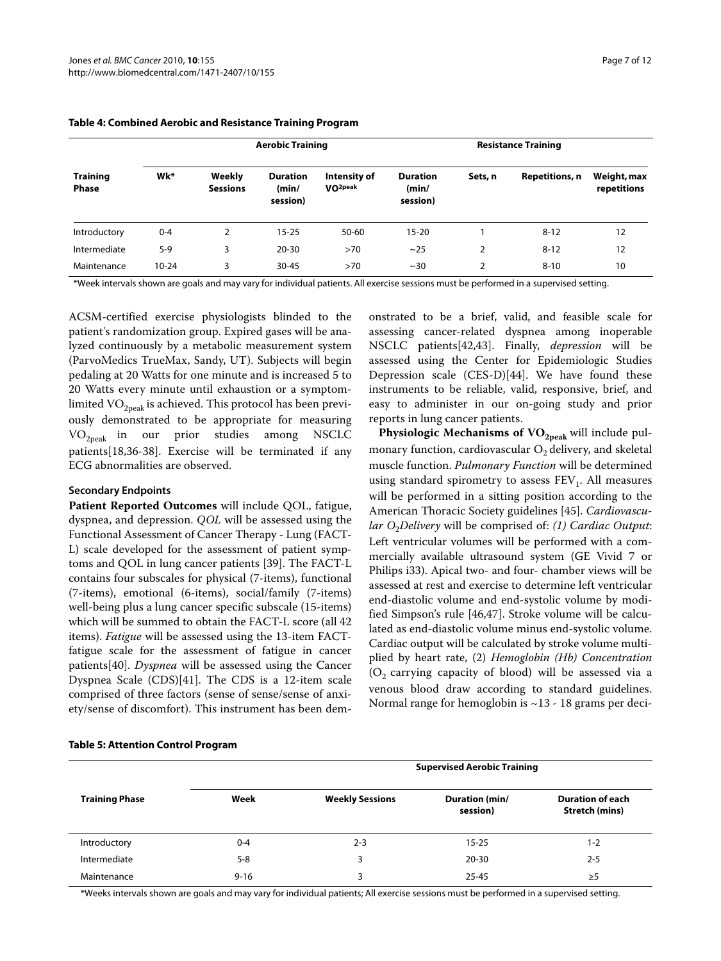|                                 |           | <b>Aerobic Training</b>   |                                      |                                      | <b>Resistance Training</b>           |                |                       |                            |
|---------------------------------|-----------|---------------------------|--------------------------------------|--------------------------------------|--------------------------------------|----------------|-----------------------|----------------------------|
| <b>Training</b><br><b>Phase</b> | Wk*       | Weekly<br><b>Sessions</b> | <b>Duration</b><br>(min/<br>session) | Intensity of<br>VO <sub>2</sub> peak | <b>Duration</b><br>(min/<br>session) | Sets, n        | <b>Repetitions, n</b> | Weight, max<br>repetitions |
| Introductory                    | $0 - 4$   | 2                         | $15 - 25$                            | 50-60                                | $15 - 20$                            |                | $8 - 12$              | 12                         |
| Intermediate                    | $5-9$     | 3                         | $20 - 30$                            | >70                                  | ~25                                  | 2              | $8 - 12$              | 12                         |
| Maintenance                     | $10 - 24$ | 3                         | $30 - 45$                            | >70                                  | $~1$ – 30                            | $\overline{2}$ | $8 - 10$              | 10                         |

## **Table 4: Combined Aerobic and Resistance Training Program**

\*Week intervals shown are goals and may vary for individual patients. All exercise sessions must be performed in a supervised setting.

ACSM-certified exercise physiologists blinded to the patient's randomization group. Expired gases will be analyzed continuously by a metabolic measurement system (ParvoMedics TrueMax, Sandy, UT). Subjects will begin pedaling at 20 Watts for one minute and is increased 5 to 20 Watts every minute until exhaustion or a symptomlimited  $VO_{2\text{peak}}$  is achieved. This protocol has been previously demonstrated to be appropriate for measuring VO2peak in our prior studies among NSCLC patients[\[18](#page-10-11)[,36](#page-11-1)-[38\]](#page-11-2). Exercise will be terminated if any ECG abnormalities are observed.

## **Secondary Endpoints**

**Patient Reported Outcomes** will include QOL, fatigue, dyspnea, and depression. *QOL* will be assessed using the Functional Assessment of Cancer Therapy - Lung (FACT-L) scale developed for the assessment of patient symptoms and QOL in lung cancer patients [\[39](#page-11-3)]. The FACT-L contains four subscales for physical (7-items), functional (7-items), emotional (6-items), social/family (7-items) well-being plus a lung cancer specific subscale (15-items) which will be summed to obtain the FACT-L score (all 42 items). *Fatigue* will be assessed using the 13-item FACTfatigue scale for the assessment of fatigue in cancer patients[\[40](#page-11-4)]. *Dyspnea* will be assessed using the Cancer Dyspnea Scale (CDS)[[41\]](#page-11-5). The CDS is a 12-item scale comprised of three factors (sense of sense/sense of anxiety/sense of discomfort). This instrument has been demonstrated to be a brief, valid, and feasible scale for assessing cancer-related dyspnea among inoperable NSCLC patients[\[42](#page-11-6)[,43\]](#page-11-7). Finally, *depression* will be assessed using the Center for Epidemiologic Studies Depression scale (CES-D)[\[44\]](#page-11-8). We have found these instruments to be reliable, valid, responsive, brief, and easy to administer in our on-going study and prior reports in lung cancer patients.

Physiologic Mechanisms of VO<sub>2peak</sub> will include pulmonary function, cardiovascular  $O_2$  delivery, and skeletal muscle function. *Pulmonary Function* will be determined using standard spirometry to assess  $FEV<sub>1</sub>$ . All measures will be performed in a sitting position according to the American Thoracic Society guidelines [\[45](#page-11-9)]. *Cardiovascular O*2*Delivery* will be comprised of: *(1) Cardiac Output*: Left ventricular volumes will be performed with a commercially available ultrasound system (GE Vivid 7 or Philips i33). Apical two- and four- chamber views will be assessed at rest and exercise to determine left ventricular end-diastolic volume and end-systolic volume by modified Simpson's rule [[46,](#page-11-10)[47\]](#page-11-11). Stroke volume will be calculated as end-diastolic volume minus end-systolic volume. Cardiac output will be calculated by stroke volume multiplied by heart rate, (2) *Hemoglobin (Hb) Concentration*  $(O<sub>2</sub>$  carrying capacity of blood) will be assessed via a venous blood draw according to standard guidelines. Normal range for hemoglobin is  $\sim$ 13 - 18 grams per deci-

## **Table 5: Attention Control Program**

|                       | <b>Supervised Aerobic Training</b> |                        |                                   |                                                  |  |
|-----------------------|------------------------------------|------------------------|-----------------------------------|--------------------------------------------------|--|
| <b>Training Phase</b> | Week                               | <b>Weekly Sessions</b> | <b>Duration (min/</b><br>session) | <b>Duration of each</b><br><b>Stretch (mins)</b> |  |
| Introductory          | $0 - 4$                            | $2 - 3$                | $15 - 25$                         | $1 - 2$                                          |  |
| Intermediate          | $5 - 8$                            | 3                      | $20 - 30$                         | $2 - 5$                                          |  |
| Maintenance           | $9 - 16$                           | 3                      | 25-45                             | $\geq 5$                                         |  |

\*Weeks intervals shown are goals and may vary for individual patients; All exercise sessions must be performed in a supervised setting.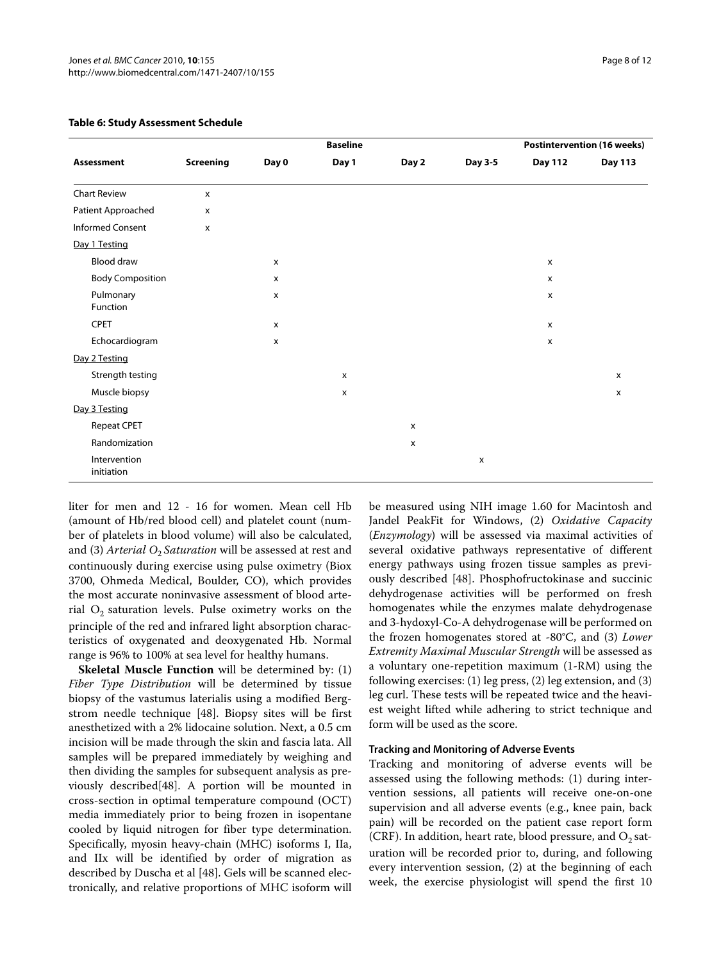|                            |                  |                    | <b>Baseline</b> |       |                    |                           | <b>Postintervention (16 weeks)</b> |
|----------------------------|------------------|--------------------|-----------------|-------|--------------------|---------------------------|------------------------------------|
| <b>Assessment</b>          | <b>Screening</b> | Day 0              | Day 1           | Day 2 | Day 3-5            | <b>Day 112</b>            | <b>Day 113</b>                     |
| <b>Chart Review</b>        | $\mathsf{x}$     |                    |                 |       |                    |                           |                                    |
| Patient Approached         | x                |                    |                 |       |                    |                           |                                    |
| <b>Informed Consent</b>    | $\mathsf{x}$     |                    |                 |       |                    |                           |                                    |
| Day 1 Testing              |                  |                    |                 |       |                    |                           |                                    |
| Blood draw                 |                  | X                  |                 |       |                    | $\pmb{\times}$            |                                    |
| <b>Body Composition</b>    |                  | x                  |                 |       |                    | $\mathsf{x}$              |                                    |
| Pulmonary<br>Function      |                  | $\pmb{\mathsf{X}}$ |                 |       |                    | $\boldsymbol{\mathsf{x}}$ |                                    |
| <b>CPET</b>                |                  | $\pmb{\mathsf{X}}$ |                 |       |                    | x                         |                                    |
| Echocardiogram             |                  | x                  |                 |       |                    | $\boldsymbol{\mathsf{x}}$ |                                    |
| Day 2 Testing              |                  |                    |                 |       |                    |                           |                                    |
| Strength testing           |                  |                    | X               |       |                    |                           | x                                  |
| Muscle biopsy              |                  |                    | X               |       |                    |                           | $\pmb{\chi}$                       |
| Day 3 Testing              |                  |                    |                 |       |                    |                           |                                    |
| Repeat CPET                |                  |                    |                 | X     |                    |                           |                                    |
| Randomization              |                  |                    |                 | x     |                    |                           |                                    |
| Intervention<br>initiation |                  |                    |                 |       | $\pmb{\mathsf{x}}$ |                           |                                    |

## **Table 6: Study Assessment Schedule**

liter for men and 12 - 16 for women. Mean cell Hb (amount of Hb/red blood cell) and platelet count (number of platelets in blood volume) will also be calculated, and (3) *Arterial O<sub>2</sub> Saturation* will be assessed at rest and continuously during exercise using pulse oximetry (Biox 3700, Ohmeda Medical, Boulder, CO), which provides the most accurate noninvasive assessment of blood arterial  $O_2$  saturation levels. Pulse oximetry works on the principle of the red and infrared light absorption characteristics of oxygenated and deoxygenated Hb. Normal range is 96% to 100% at sea level for healthy humans.

**Skeletal Muscle Function** will be determined by: (1) *Fiber Type Distribution* will be determined by tissue biopsy of the vastumus laterialis using a modified Bergstrom needle technique [[48](#page-11-12)]. Biopsy sites will be first anesthetized with a 2% lidocaine solution. Next, a 0.5 cm incision will be made through the skin and fascia lata. All samples will be prepared immediately by weighing and then dividing the samples for subsequent analysis as previously described[[48\]](#page-11-12). A portion will be mounted in cross-section in optimal temperature compound (OCT) media immediately prior to being frozen in isopentane cooled by liquid nitrogen for fiber type determination. Specifically, myosin heavy-chain (MHC) isoforms I, IIa, and IIx will be identified by order of migration as described by Duscha et al [\[48\]](#page-11-12). Gels will be scanned electronically, and relative proportions of MHC isoform will

be measured using NIH image 1.60 for Macintosh and Jandel PeakFit for Windows, (2) *Oxidative Capacity* (*Enzymology*) will be assessed via maximal activities of several oxidative pathways representative of different energy pathways using frozen tissue samples as previously described [[48\]](#page-11-12). Phosphofructokinase and succinic dehydrogenase activities will be performed on fresh homogenates while the enzymes malate dehydrogenase and 3-hydoxyl-Co-A dehydrogenase will be performed on the frozen homogenates stored at -80°C, and (3) *Lower Extremity Maximal Muscular Strength* will be assessed as a voluntary one-repetition maximum (1-RM) using the following exercises: (1) leg press, (2) leg extension, and (3) leg curl. These tests will be repeated twice and the heaviest weight lifted while adhering to strict technique and form will be used as the score.

## **Tracking and Monitoring of Adverse Events**

Tracking and monitoring of adverse events will be assessed using the following methods: (1) during intervention sessions, all patients will receive one-on-one supervision and all adverse events (e.g., knee pain, back pain) will be recorded on the patient case report form (CRF). In addition, heart rate, blood pressure, and  $O_2$  saturation will be recorded prior to, during, and following every intervention session, (2) at the beginning of each week, the exercise physiologist will spend the first 10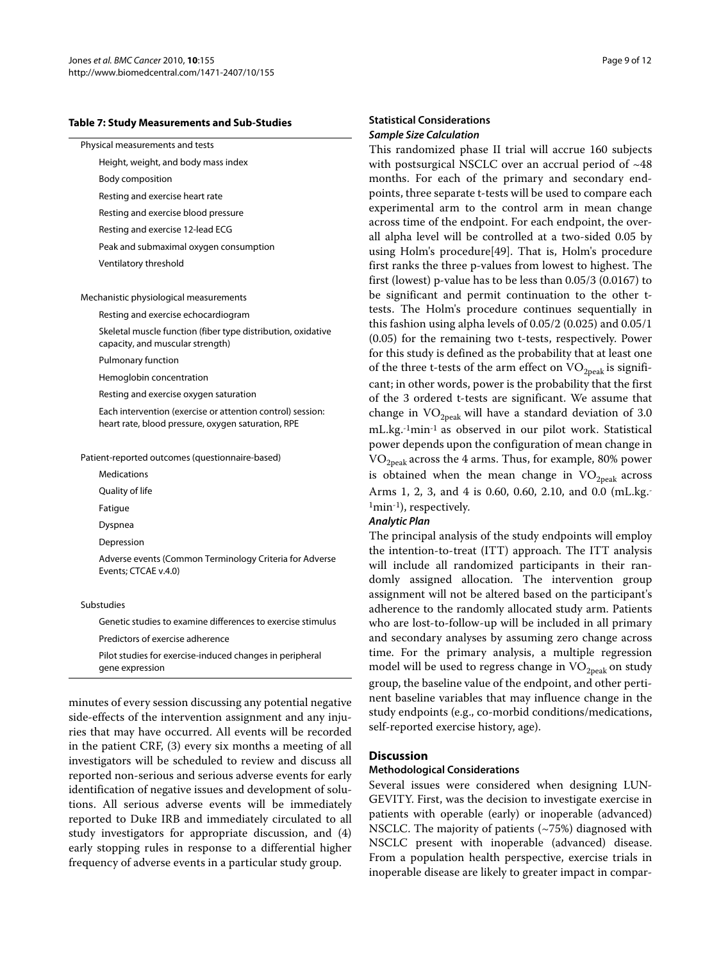#### **Table 7: Study Measurements and Sub-Studies**

|  | Physical measurements and tests |  |
|--|---------------------------------|--|
|--|---------------------------------|--|

Height, weight, and body mass index

Body composition

Resting and exercise heart rate

Resting and exercise blood pressure

Resting and exercise 12-lead ECG

Peak and submaximal oxygen consumption

Ventilatory threshold

Mechanistic physiological measurements

Resting and exercise echocardiogram

Skeletal muscle function (fiber type distribution, oxidative capacity, and muscular strength)

Pulmonary function

Hemoglobin concentration

Resting and exercise oxygen saturation

Each intervention (exercise or attention control) session: heart rate, blood pressure, oxygen saturation, RPE

Patient-reported outcomes (questionnaire-based)

Medications

Quality of life

Fatigue

Dyspnea

Depression

Adverse events (Common Terminology Criteria for Adverse Events; CTCAE v.4.0)

#### Substudies

Genetic studies to examine differences to exercise stimulus Predictors of exercise adherence

Pilot studies for exercise-induced changes in peripheral gene expression

minutes of every session discussing any potential negative side-effects of the intervention assignment and any injuries that may have occurred. All events will be recorded in the patient CRF, (3) every six months a meeting of all investigators will be scheduled to review and discuss all reported non-serious and serious adverse events for early identification of negative issues and development of solutions. All serious adverse events will be immediately reported to Duke IRB and immediately circulated to all study investigators for appropriate discussion, and (4) early stopping rules in response to a differential higher frequency of adverse events in a particular study group.

## **Statistical Considerations Sample Size Calculation**

This randomized phase II trial will accrue 160 subjects with postsurgical NSCLC over an accrual period of ~48 months. For each of the primary and secondary endpoints, three separate t-tests will be used to compare each experimental arm to the control arm in mean change across time of the endpoint. For each endpoint, the overall alpha level will be controlled at a two-sided 0.05 by using Holm's procedure[\[49](#page-11-13)]. That is, Holm's procedure first ranks the three p-values from lowest to highest. The first (lowest) p-value has to be less than 0.05/3 (0.0167) to be significant and permit continuation to the other ttests. The Holm's procedure continues sequentially in this fashion using alpha levels of 0.05/2 (0.025) and 0.05/1 (0.05) for the remaining two t-tests, respectively. Power for this study is defined as the probability that at least one of the three t-tests of the arm effect on  $VO_{2\text{peak}}$  is significant; in other words, power is the probability that the first of the 3 ordered t-tests are significant. We assume that change in  $VO_{2peak}$  will have a standard deviation of 3.0 mL.kg.-1min-1 as observed in our pilot work. Statistical power depends upon the configuration of mean change in  $VO<sub>2peak</sub> across the 4 arms. Thus, for example, 80% power$ is obtained when the mean change in  $VO<sub>2peak</sub>$  across Arms 1, 2, 3, and 4 is 0.60, 0.60, 2.10, and 0.0 (mL.kg.- 1min-1), respectively.

#### **Analytic Plan**

The principal analysis of the study endpoints will employ the intention-to-treat (ITT) approach. The ITT analysis will include all randomized participants in their randomly assigned allocation. The intervention group assignment will not be altered based on the participant's adherence to the randomly allocated study arm. Patients who are lost-to-follow-up will be included in all primary and secondary analyses by assuming zero change across time. For the primary analysis, a multiple regression model will be used to regress change in  $\mathrm{VO}_{2\mathrm{peak}}$  on study group, the baseline value of the endpoint, and other pertinent baseline variables that may influence change in the study endpoints (e.g., co-morbid conditions/medications, self-reported exercise history, age).

#### **Discussion**

## **Methodological Considerations**

Several issues were considered when designing LUN-GEVITY. First, was the decision to investigate exercise in patients with operable (early) or inoperable (advanced) NSCLC. The majority of patients (~75%) diagnosed with NSCLC present with inoperable (advanced) disease. From a population health perspective, exercise trials in inoperable disease are likely to greater impact in compar-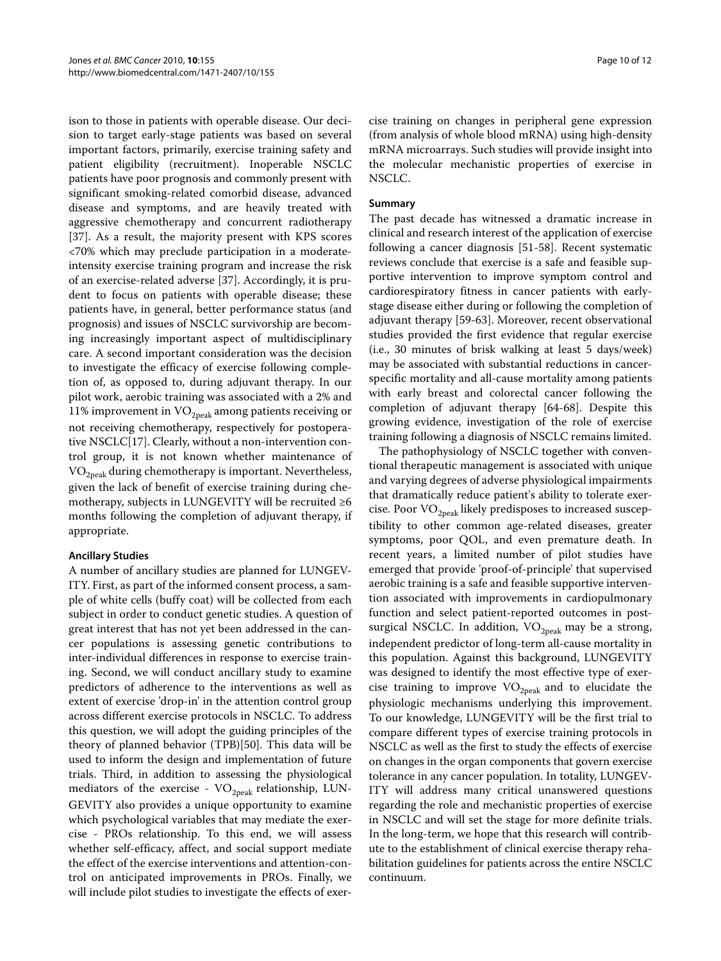ison to those in patients with operable disease. Our decision to target early-stage patients was based on several important factors, primarily, exercise training safety and patient eligibility (recruitment). Inoperable NSCLC patients have poor prognosis and commonly present with significant smoking-related comorbid disease, advanced disease and symptoms, and are heavily treated with aggressive chemotherapy and concurrent radiotherapy [[37\]](#page-11-14). As a result, the majority present with KPS scores <70% which may preclude participation in a moderateintensity exercise training program and increase the risk of an exercise-related adverse [\[37\]](#page-11-14). Accordingly, it is prudent to focus on patients with operable disease; these patients have, in general, better performance status (and prognosis) and issues of NSCLC survivorship are becoming increasingly important aspect of multidisciplinary care. A second important consideration was the decision to investigate the efficacy of exercise following completion of, as opposed to, during adjuvant therapy. In our pilot work, aerobic training was associated with a 2% and 11% improvement in  $\rm VO_{2peak}$  among patients receiving or not receiving chemotherapy, respectively for postoperative NSCLC[[17\]](#page-10-10). Clearly, without a non-intervention control group, it is not known whether maintenance of  $VO<sub>2peak</sub>$  during chemotherapy is important. Nevertheless, given the lack of benefit of exercise training during chemotherapy, subjects in LUNGEVITY will be recruited  $\geq 6$ months following the completion of adjuvant therapy, if appropriate.

## **Ancillary Studies**

A number of ancillary studies are planned for LUNGEV-ITY. First, as part of the informed consent process, a sample of white cells (buffy coat) will be collected from each subject in order to conduct genetic studies. A question of great interest that has not yet been addressed in the cancer populations is assessing genetic contributions to inter-individual differences in response to exercise training. Second, we will conduct ancillary study to examine predictors of adherence to the interventions as well as extent of exercise 'drop-in' in the attention control group across different exercise protocols in NSCLC. To address this question, we will adopt the guiding principles of the theory of planned behavior (TPB)[[50](#page-11-15)]. This data will be used to inform the design and implementation of future trials. Third, in addition to assessing the physiological mediators of the exercise -  $VO<sub>2peak</sub>$  relationship, LUN-GEVITY also provides a unique opportunity to examine which psychological variables that may mediate the exercise - PROs relationship. To this end, we will assess whether self-efficacy, affect, and social support mediate the effect of the exercise interventions and attention-control on anticipated improvements in PROs. Finally, we will include pilot studies to investigate the effects of exer-

cise training on changes in peripheral gene expression (from analysis of whole blood mRNA) using high-density mRNA microarrays. Such studies will provide insight into the molecular mechanistic properties of exercise in NSCLC.

## **Summary**

The past decade has witnessed a dramatic increase in clinical and research interest of the application of exercise following a cancer diagnosis [\[51](#page-11-16)-[58](#page-11-17)]. Recent systematic reviews conclude that exercise is a safe and feasible supportive intervention to improve symptom control and cardiorespiratory fitness in cancer patients with earlystage disease either during or following the completion of adjuvant therapy [\[59](#page-11-18)-[63\]](#page-11-19). Moreover, recent observational studies provided the first evidence that regular exercise (i.e., 30 minutes of brisk walking at least 5 days/week) may be associated with substantial reductions in cancerspecific mortality and all-cause mortality among patients with early breast and colorectal cancer following the completion of adjuvant therapy [[64](#page-11-20)[-68](#page-11-21)]. Despite this growing evidence, investigation of the role of exercise training following a diagnosis of NSCLC remains limited.

The pathophysiology of NSCLC together with conventional therapeutic management is associated with unique and varying degrees of adverse physiological impairments that dramatically reduce patient's ability to tolerate exercise. Poor VO<sub>2peak</sub> likely predisposes to increased susceptibility to other common age-related diseases, greater symptoms, poor QOL, and even premature death. In recent years, a limited number of pilot studies have emerged that provide 'proof-of-principle' that supervised aerobic training is a safe and feasible supportive intervention associated with improvements in cardiopulmonary function and select patient-reported outcomes in postsurgical NSCLC. In addition,  $VO_{2peak}$  may be a strong, independent predictor of long-term all-cause mortality in this population. Against this background, LUNGEVITY was designed to identify the most effective type of exercise training to improve  $VO_{2peak}$  and to elucidate the physiologic mechanisms underlying this improvement. To our knowledge, LUNGEVITY will be the first trial to compare different types of exercise training protocols in NSCLC as well as the first to study the effects of exercise on changes in the organ components that govern exercise tolerance in any cancer population. In totality, LUNGEV-ITY will address many critical unanswered questions regarding the role and mechanistic properties of exercise in NSCLC and will set the stage for more definite trials. In the long-term, we hope that this research will contribute to the establishment of clinical exercise therapy rehabilitation guidelines for patients across the entire NSCLC continuum.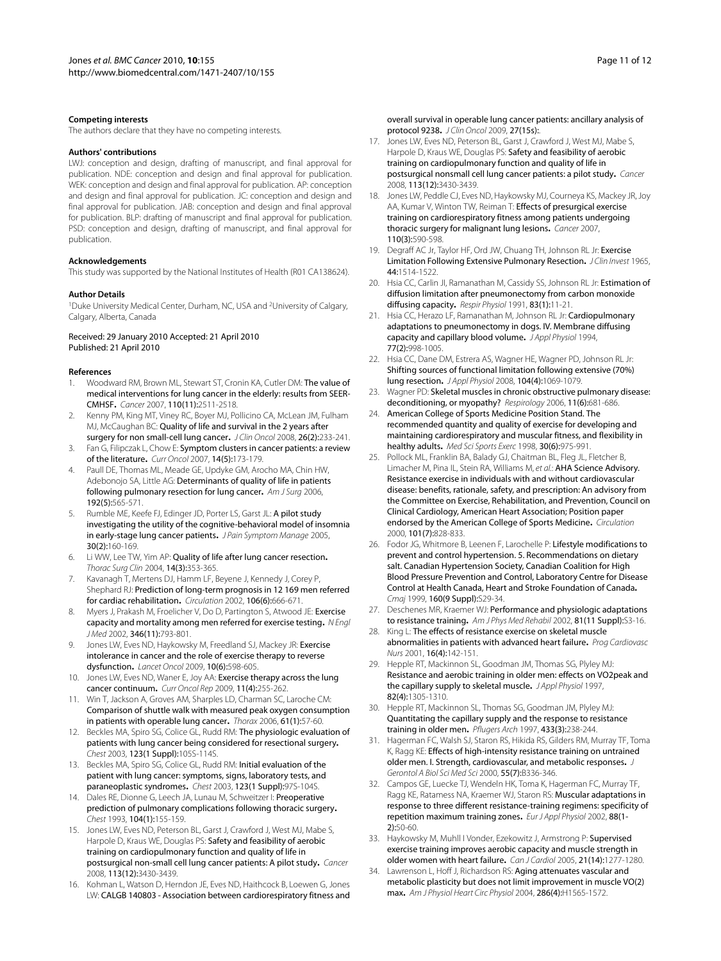#### **Competing interests**

The authors declare that they have no competing interests.

#### **Authors' contributions**

LWJ: conception and design, drafting of manuscript, and final approval for publication. NDE: conception and design and final approval for publication. WEK: conception and design and final approval for publication. AP: conception and design and final approval for publication. JC: conception and design and final approval for publication. JAB: conception and design and final approval for publication. BLP: drafting of manuscript and final approval for publication. PSD: conception and design, drafting of manuscript, and final approval for publication.

#### **Acknowledgements**

This study was supported by the National Institutes of Health (R01 CA138624).

#### **Author Details**

1Duke University Medical Center, Durham, NC, USA and 2University of Calgary, Calgary, Alberta, Canada

#### Received: 29 January 2010 Accepted: 21 April 2010 Published: 21 April 2010

#### **References**

- <span id="page-10-0"></span>Woodward RM, Brown ML, Stewart ST, Cronin KA, Cutler DM: The value of medical interventions for lung cancer in the elderly: results from SEER-CMHSF**.** Cancer 2007, 110(11):2511-2518.
- 2. Kenny PM, King MT, Viney RC, Boyer MJ, Pollicino CA, McLean JM, Fulham MJ, McCaughan BC: **Quality of life and survival in the 2 years after** surgery for non small-cell lung cancer**.** J Clin Oncol 2008, 26(2):233-241.
- 3. Fan G, Filipczak L, Chow E: Symptom clusters in cancer patients: a review of the literature**.** Curr Oncol 2007, 14(5):173-179.
- 4. Paull DE, Thomas ML, Meade GE, Updyke GM, Arocho MA, Chin HW, Adebonojo SA, Little AG: Determinants of quality of life in patients following pulmonary resection for lung cancer**.** Am J Surg 2006, 192(5):565-571.
- 5. Rumble ME, Keefe FJ, Edinger JD, Porter LS, Garst JL: A pilot study investigating the utility of the cognitive-behavioral model of insomnia in early-stage lung cancer patients**.** J Pain Symptom Manage 2005, 30(2):160-169.
- <span id="page-10-1"></span>6. Li WW, Lee TW, Yim AP: Quality of life after lung cancer resection**.** Thorac Surg Clin 2004, 14(3):353-365.
- <span id="page-10-2"></span>7. Kavanagh T, Mertens DJ, Hamm LF, Beyene J, Kennedy J, Corey P, Shephard RJ: Prediction of long-term prognosis in 12 169 men referred for cardiac rehabilitation**.** Circulation 2002, 106(6):666-671.
- <span id="page-10-3"></span>8. Myers J, Prakash M, Froelicher V, Do D, Partington S, Atwood JE: Exercise capacity and mortality among men referred for exercise testing**.** N Engl J Med 2002, 346(11):793-801.
- <span id="page-10-4"></span>9. Jones LW, Eves ND, Haykowsky M, Freedland SJ, Mackey JR: Exercise intolerance in cancer and the role of exercise therapy to reverse dysfunction**.** Lancet Oncol 2009, 10(6):598-605.
- <span id="page-10-5"></span>10. Jones LW, Eves ND, Waner E, Joy AA: Exercise therapy across the lung cancer continuum**[.](http://www.ncbi.nlm.nih.gov/entrez/query.fcgi?cmd=Retrieve&db=PubMed&dopt=Abstract&list_uids=19508829)** Curr Oncol Rep 2009, 11(4):255-262.
- <span id="page-10-6"></span>11. Win T, Jackson A, Groves AM, Sharples LD, Charman SC, Laroche CM: Comparison of shuttle walk with measured peak oxygen consumption in patients with operable lung cancer**.** Thorax 2006, 61(1):57-60.
- 12. Beckles MA, Spiro SG, Colice GL, Rudd RM: The physiologic evaluation of patients with lung cancer being considered for resectional surgery**.** Chest 2003, 123(1 Suppl):105S-114S.
- 13. Beckles MA, Spiro SG, Colice GL, Rudd RM: Initial evaluation of the patient with lung cancer: symptoms, signs, laboratory tests, and paraneoplastic syndromes**.** Chest 2003, 123(1 Suppl):97S-104S.
- <span id="page-10-7"></span>14. Dales RE, Dionne G, Leech JA, Lunau M, Schweitzer I: Preoperative prediction of pulmonary complications following thoracic surgery**[.](http://www.ncbi.nlm.nih.gov/entrez/query.fcgi?cmd=Retrieve&db=PubMed&dopt=Abstract&list_uids=8325061)** Chest 1993, 104(1):155-159.
- <span id="page-10-8"></span>15. Jones LW, Eves ND, Peterson BL, Garst J, Crawford J, West MJ, Mabe S, Harpole D, Kraus WE, Douglas PS: Safety and feasibility of aerobic training on cardiopulmonary function and quality of life in postsurgical non-small cell lung cancer patients: A pilot study**.** Cancer 2008, 113(12):3430-3439.
- <span id="page-10-9"></span>16. Kohman L, Watson D, Herndon JE, Eves ND, Haithcock B, Loewen G, Jones LW: CALGB 140803 - Association between cardiorespiratory fitness and

Page 11 of 12

overall survival in operable lung cancer patients: ancillary analysis of protocol 9238**.** J Clin Oncol 2009, 27(15s):.

- <span id="page-10-10"></span>17. Jones LW, Eves ND, Peterson BL, Garst J, Crawford J, West MJ, Mabe S, Harpole D, Kraus WE, Douglas PS: Safety and feasibility of aerobic training on cardiopulmonary function and quality of life in postsurgical nonsmall cell lung cancer patients: a pilot study**.** Cancer 2008, 113(12):3430-3439.
- <span id="page-10-11"></span>18. Jones LW, Peddle CJ, Eves ND, Haykowsky MJ, Courneya KS, Mackey JR, Joy AA, Kumar V, Winton TW, Reiman T: Effects of presurgical exercise training on cardiorespiratory fitness among patients undergoing thoracic surgery for malignant lung lesions**.** Cancer 2007, 110(3):590-598.
- <span id="page-10-12"></span>19. Degraff AC Jr, Taylor HF, Ord JW, Chuang TH, Johnson RL Jr: Exercise Limitation Following Extensive Pulmonary Resection**.** J Clin Invest 1965, 44:1514-1522.
- 20. Hsia CC, Carlin JI, Ramanathan M, Cassidy SS, Johnson RL Jr: Estimation of diffusion limitation after pneumonectomy from carbon monoxide diffusing capacity. Respir Physiol 1991, 83(1):11-21.
- 21. Hsia CC, Herazo LF, Ramanathan M, Johnson RL Jr: Cardiopulmonary adaptations to pneumonectomy in dogs. IV. Membrane diffusing capacity and capillary blood volume**[.](http://www.ncbi.nlm.nih.gov/entrez/query.fcgi?cmd=Retrieve&db=PubMed&dopt=Abstract&list_uids=8002557)** J Appl Physiol 1994, 77(2):998-1005.
- <span id="page-10-13"></span>22. Hsia CC, Dane DM, Estrera AS, Wagner HE, Wagner PD, Johnson RL Jr: Shifting sources of functional limitation following extensive (70%) lung resection**[.](http://www.ncbi.nlm.nih.gov/entrez/query.fcgi?cmd=Retrieve&db=PubMed&dopt=Abstract&list_uids=18258800)** J Appl Physiol 2008, 104(4):1069-1079.
- <span id="page-10-14"></span>23. Wagner PD: Skeletal muscles in chronic obstructive pulmonary disease: deconditioning, or myopathy? Respirology 2006, 11(6):681-686.
- <span id="page-10-15"></span>24. American College of Sports Medicine Position Stand. The recommended quantity and quality of exercise for developing and maintaining cardiorespiratory and muscular fitness, and flexibility in healthy adults**.** Med Sci Sports Exerc 1998, 30(6):975-991.
- 25. Pollock ML, Franklin BA, Balady GJ, Chaitman BL, Fleg JL, Fletcher B, Limacher M, Pina IL, Stein RA, Williams M, et al.: **AHA Science Advisory.** Resistance exercise in individuals with and without cardiovascular disease: benefits, rationale, safety, and prescription: An advisory from the Committee on Exercise, Rehabilitation, and Prevention, Council on Clinical Cardiology, American Heart Association; Position paper endorsed by the American College of Sports Medicine**[.](http://www.ncbi.nlm.nih.gov/entrez/query.fcgi?cmd=Retrieve&db=PubMed&dopt=Abstract&list_uids=10683360)** Circulation 2000, 101(7):828-833.
- 26. Fodor JG, Whitmore B, Leenen F, Larochelle P: Lifestyle modifications to prevent and control hypertension. 5. Recommendations on dietary salt. Canadian Hypertension Society, Canadian Coalition for High Blood Pressure Prevention and Control, Laboratory Centre for Disease Control at Health Canada, Heart and Stroke Foundation of Canada**.** Cmaj 1999, 160(9 Suppl): S29-34.
- 27. Deschenes MR, Kraemer WJ: Performance and physiologic adaptations to resistance training**.** Am J Phys Med Rehabil 2002, 81(11 Suppl):S3-16.
- <span id="page-10-16"></span>28. King L: The effects of resistance exercise on skeletal muscle abnormalities in patients with advanced heart failure**.** Prog Cardiovasc Nurs 2001, 16(4):142-151.
- <span id="page-10-17"></span>29. Hepple RT, Mackinnon SL, Goodman JM, Thomas SG, Plyley MJ: Resistance and aerobic training in older men: effects on VO2peak and the capillary supply to skeletal muscle**.** J Appl Physiol 1997, 82(4):1305-1310.
- 30. Hepple RT, Mackinnon SL, Thomas SG, Goodman JM, Plyley MJ: Quantitating the capillary supply and the response to resistance training in older men**[.](http://www.ncbi.nlm.nih.gov/entrez/query.fcgi?cmd=Retrieve&db=PubMed&dopt=Abstract&list_uids=9064638)** Pflugers Arch 1997, 433(3):238-244.
- 31. Hagerman FC, Walsh SJ, Staron RS, Hikida RS, Gilders RM, Murray TF, Toma K, Ragg KE: Effects of high-intensity resistance training on untrained older men. I. Strength, cardiovascular, and metabolic responses**.** J Gerontol A Biol Sci Med Sci 2000, 55(7):B336-346.
- 32. Campos GE, Luecke TJ, Wendeln HK, Toma K, Hagerman FC, Murray TF, Ragg KE, Ratamess NA, Kraemer WJ, Staron RS: Muscular adaptations in response to three different resistance-training regimens: specificity of repetition maximum training zones**.** Eur J Appl Physiol 2002, 88(1-  $21:50-60$
- 33. Haykowsky M, Muhll I Vonder, Ezekowitz J, Armstrong P: Supervised exercise training improves aerobic capacity and muscle strength in older women with heart failure**.** Can J Cardiol 2005, 21(14):1277-1280.
- <span id="page-10-18"></span>34. Lawrenson L, Hoff J, Richardson RS: Aging attenuates vascular and metabolic plasticity but does not limit improvement in muscle VO(2) max**.** Am J Physiol Heart Circ Physiol 2004, 286(4):H1565-1572.